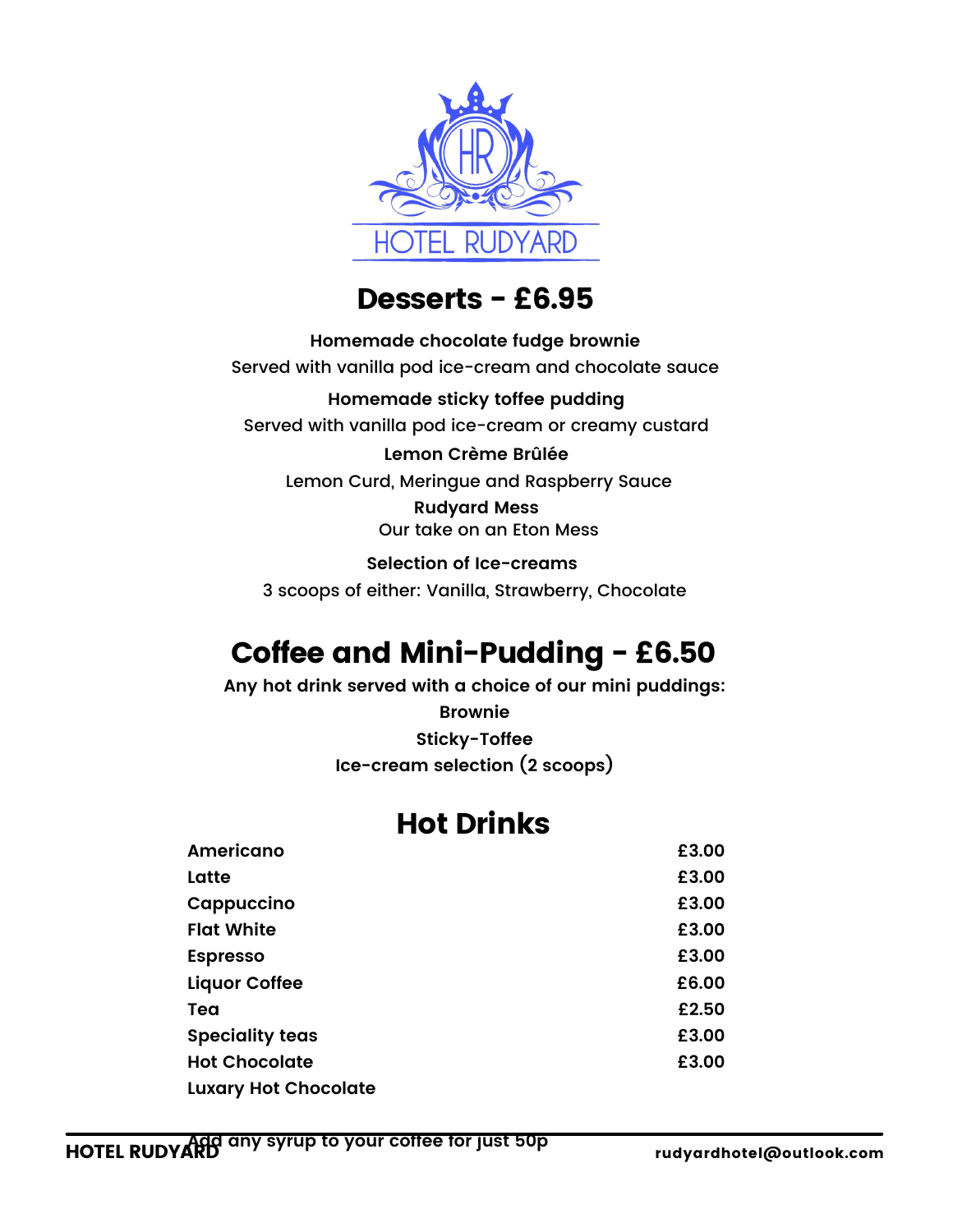

### Desserts - £6.95

**Homemade chocolate fudge brownie** Served with vanilla pod ice-cream and chocolate sauce **Homemade sticky toffee pudding** Served with vanilla pod ice-cream or creamy custard **Lemon Crème Brûlée** Lemon Curd, Meringue and Raspberry Sauce **Rudyard Mess** Our take on an Eton Mess

**Selection of Ice-creams** 3 scoops of either: Vanilla, Strawberry, Chocolate

# Coffee and Mini-Pudding - £6.50

**Any hot drink served with a choice of our mini puddings:**

**Brownie Sticky-Toffee**

**Ice-cream selection (2 scoops)**

## Hot Drinks

| <b>Americano</b>            | £3.00 |
|-----------------------------|-------|
| Latte                       | £3.00 |
| Cappuccino                  | £3.00 |
| <b>Flat White</b>           | £3.00 |
| <b>Espresso</b>             | £3.00 |
| <b>Liquor Coffee</b>        | £6.00 |
| Tea                         | £2.50 |
| <b>Speciality teas</b>      | £3.00 |
| <b>Hot Chocolate</b>        | £3.00 |
| <b>Luxary Hot Chocolate</b> |       |